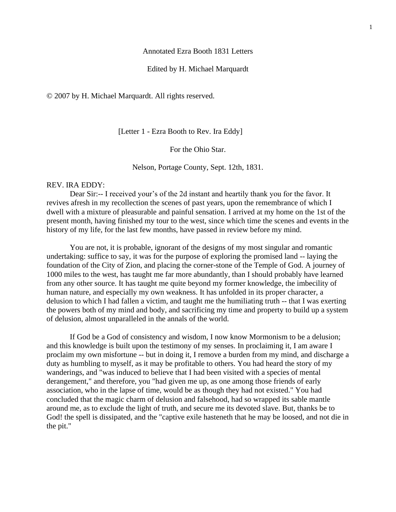#### Annotated Ezra Booth 1831 Letters

# Edited by H. Michael Marquardt

© 2007 by H. Michael Marquardt. All rights reserved.

[Letter 1 - Ezra Booth to Rev. Ira Eddy]

For the Ohio Star.

Nelson, Portage County, Sept. 12th, 1831.

#### REV. IRA EDDY:

Dear Sir:-- I received your's of the 2d instant and heartily thank you for the favor. It revives afresh in my recollection the scenes of past years, upon the remembrance of which I dwell with a mixture of pleasurable and painful sensation. I arrived at my home on the 1st of the present month, having finished my tour to the west, since which time the scenes and events in the history of my life, for the last few months, have passed in review before my mind.

You are not, it is probable, ignorant of the designs of my most singular and romantic undertaking: suffice to say, it was for the purpose of exploring the promised land -- laying the foundation of the City of Zion, and placing the corner-stone of the Temple of God. A journey of 1000 miles to the west, has taught me far more abundantly, than I should probably have learned from any other source. It has taught me quite beyond my former knowledge, the imbecility of human nature, and especially my own weakness. It has unfolded in its proper character, a delusion to which I had fallen a victim, and taught me the humiliating truth -- that I was exerting the powers both of my mind and body, and sacrificing my time and property to build up a system of delusion, almost unparalleled in the annals of the world.

If God be a God of consistency and wisdom, I now know Mormonism to be a delusion; and this knowledge is built upon the testimony of my senses. In proclaiming it, I am aware I proclaim my own misfortune -- but in doing it, I remove a burden from my mind, and discharge a duty as humbling to myself, as it may be profitable to others. You had heard the story of my wanderings, and "was induced to believe that I had been visited with a species of mental derangement," and therefore, you "had given me up, as one among those friends of early association, who in the lapse of time, would be as though they had not existed." You had concluded that the magic charm of delusion and falsehood, had so wrapped its sable mantle around me, as to exclude the light of truth, and secure me its devoted slave. But, thanks be to God! the spell is dissipated, and the "captive exile hasteneth that he may be loosed, and not die in the pit."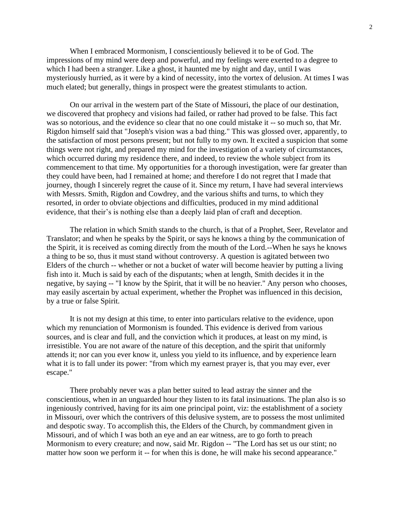When I embraced Mormonism, I conscientiously believed it to be of God. The impressions of my mind were deep and powerful, and my feelings were exerted to a degree to which I had been a stranger. Like a ghost, it haunted me by night and day, until I was mysteriously hurried, as it were by a kind of necessity, into the vortex of delusion. At times I was much elated; but generally, things in prospect were the greatest stimulants to action.

On our arrival in the western part of the State of Missouri, the place of our destination, we discovered that prophecy and visions had failed, or rather had proved to be false. This fact was so notorious, and the evidence so clear that no one could mistake it -- so much so, that Mr. Rigdon himself said that "Joseph's vision was a bad thing." This was glossed over, apparently, to the satisfaction of most persons present; but not fully to my own. It excited a suspicion that some things were not right, and prepared my mind for the investigation of a variety of circumstances, which occurred during my residence there, and indeed, to review the whole subject from its commencement to that time. My opportunities for a thorough investigation, were far greater than they could have been, had I remained at home; and therefore I do not regret that I made that journey, though I sincerely regret the cause of it. Since my return, I have had several interviews with Messrs. Smith, Rigdon and Cowdrey, and the various shifts and turns, to which they resorted, in order to obviate objections and difficulties, produced in my mind additional evidence, that their's is nothing else than a deeply laid plan of craft and deception.

The relation in which Smith stands to the church, is that of a Prophet, Seer, Revelator and Translator; and when he speaks by the Spirit, or says he knows a thing by the communication of the Spirit, it is received as coming directly from the mouth of the Lord.--When he says he knows a thing to be so, thus it must stand without controversy. A question is agitated between two Elders of the church -- whether or not a bucket of water will become heavier by putting a living fish into it. Much is said by each of the disputants; when at length, Smith decides it in the negative, by saying -- "I know by the Spirit, that it will be no heavier." Any person who chooses, may easily ascertain by actual experiment, whether the Prophet was influenced in this decision, by a true or false Spirit.

It is not my design at this time, to enter into particulars relative to the evidence, upon which my renunciation of Mormonism is founded. This evidence is derived from various sources, and is clear and full, and the conviction which it produces, at least on my mind, is irresistible. You are not aware of the nature of this deception, and the spirit that uniformly attends it; nor can you ever know it, unless you yield to its influence, and by experience learn what it is to fall under its power: "from which my earnest prayer is, that you may ever, ever escape."

There probably never was a plan better suited to lead astray the sinner and the conscientious, when in an unguarded hour they listen to its fatal insinuations. The plan also is so ingeniously contrived, having for its aim one principal point, viz: the establishment of a society in Missouri, over which the contrivers of this delusive system, are to possess the most unlimited and despotic sway. To accomplish this, the Elders of the Church, by commandment given in Missouri, and of which I was both an eye and an ear witness, are to go forth to preach Mormonism to every creature; and now, said Mr. Rigdon -- "The Lord has set us our stint; no matter how soon we perform it -- for when this is done, he will make his second appearance."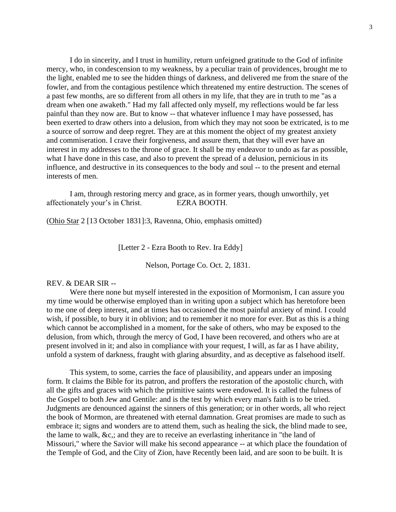I do in sincerity, and I trust in humility, return unfeigned gratitude to the God of infinite mercy, who, in condescension to my weakness, by a peculiar train of providences, brought me to the light, enabled me to see the hidden things of darkness, and delivered me from the snare of the fowler, and from the contagious pestilence which threatened my entire destruction. The scenes of a past few months, are so different from all others in my life, that they are in truth to me "as a dream when one awaketh." Had my fall affected only myself, my reflections would be far less painful than they now are. But to know -- that whatever influence I may have possessed, has been exerted to draw others into a delusion, from which they may not soon be extricated, is to me a source of sorrow and deep regret. They are at this moment the object of my greatest anxiety and commiseration. I crave their forgiveness, and assure them, that they will ever have an interest in my addresses to the throne of grace. It shall be my endeavor to undo as far as possible, what I have done in this case, and also to prevent the spread of a delusion, pernicious in its influence, and destructive in its consequences to the body and soul -- to the present and eternal interests of men.

I am, through restoring mercy and grace, as in former years, though unworthily, yet affectionately your's in Christ. EZRA BOOTH.

(Ohio Star 2 [13 October 1831]:3, Ravenna, Ohio, emphasis omitted)

[Letter 2 - Ezra Booth to Rev. Ira Eddy]

Nelson, Portage Co. Oct. 2, 1831.

#### REV. & DEAR SIR --

Were there none but myself interested in the exposition of Mormonism, I can assure you my time would be otherwise employed than in writing upon a subject which has heretofore been to me one of deep interest, and at times has occasioned the most painful anxiety of mind. I could wish, if possible, to bury it in oblivion; and to remember it no more for ever. But as this is a thing which cannot be accomplished in a moment, for the sake of others, who may be exposed to the delusion, from which, through the mercy of God, I have been recovered, and others who are at present involved in it; and also in compliance with your request, I will, as far as I have ability, unfold a system of darkness, fraught with glaring absurdity, and as deceptive as falsehood itself.

This system, to some, carries the face of plausibility, and appears under an imposing form. It claims the Bible for its patron, and proffers the restoration of the apostolic church, with all the gifts and graces with which the primitive saints were endowed. It is called the fulness of the Gospel to both Jew and Gentile: and is the test by which every man's faith is to be tried. Judgments are denounced against the sinners of this generation; or in other words, all who reject the book of Mormon, are threatened with eternal damnation. Great promises are made to such as embrace it; signs and wonders are to attend them, such as healing the sick, the blind made to see, the lame to walk, &c,; and they are to receive an everlasting inheritance in "the land of Missouri," where the Savior will make his second appearance -- at which place the foundation of the Temple of God, and the City of Zion, have Recently been laid, and are soon to be built. It is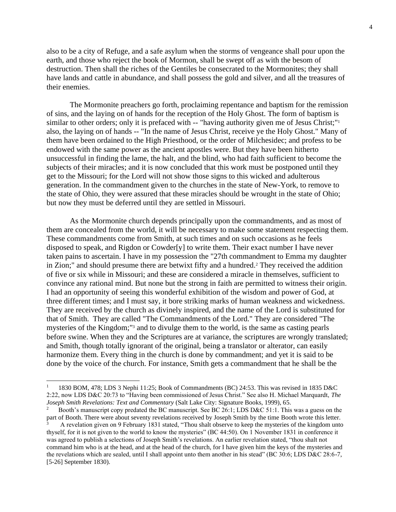also to be a city of Refuge, and a safe asylum when the storms of vengeance shall pour upon the earth, and those who reject the book of Mormon, shall be swept off as with the besom of destruction. Then shall the riches of the Gentiles be consecrated to the Mormonites; they shall have lands and cattle in abundance, and shall possess the gold and silver, and all the treasures of their enemies.

The Mormonite preachers go forth, proclaiming repentance and baptism for the remission of sins, and the laying on of hands for the reception of the Holy Ghost. The form of baptism is similar to other orders; only it is prefaced with -- "having authority given me of Jesus Christ;"<sup>1</sup> also, the laying on of hands -- "In the name of Jesus Christ, receive ye the Holy Ghost." Many of them have been ordained to the High Priesthood, or the order of Milchesidec; and profess to be endowed with the same power as the ancient apostles were. But they have been hitherto unsuccessful in finding the lame, the halt, and the blind, who had faith sufficient to become the subjects of their miracles; and it is now concluded that this work must be postponed until they get to the Missouri; for the Lord will not show those signs to this wicked and adulterous generation. In the commandment given to the churches in the state of New-York, to remove to the state of Ohio, they were assured that these miracles should be wrought in the state of Ohio; but now they must be deferred until they are settled in Missouri.

As the Mormonite church depends principally upon the commandments, and as most of them are concealed from the world, it will be necessary to make some statement respecting them. These commandments come from Smith, at such times and on such occasions as he feels disposed to speak, and Rigdon or Cowder[y] to write them. Their exact number I have never taken pains to ascertain. I have in my possession the "27th commandment to Emma my daughter in Zion;" and should presume there are betwixt fifty and a hundred.<sup>2</sup> They received the addition of five or six while in Missouri; and these are considered a miracle in themselves, sufficient to convince any rational mind. But none but the strong in faith are permitted to witness their origin. I had an opportunity of seeing this wonderful exhibition of the wisdom and power of God, at three different times; and I must say, it bore striking marks of human weakness and wickedness. They are received by the church as divinely inspired, and the name of the Lord is substituted for that of Smith. They are called "The Commandments of the Lord." They are considered "The mysteries of the Kingdom;"<sup>3</sup> and to divulge them to the world, is the same as casting pearls before swine. When they and the Scriptures are at variance, the scriptures are wrongly translated; and Smith, though totally ignorant of the original, being a translator or alterator, can easily harmonize them. Every thing in the church is done by commandment; and yet it is said to be done by the voice of the church. For instance, Smith gets a commandment that he shall be the

<sup>1</sup> 1830 BOM, 478; LDS 3 Nephi 11:25; Book of Commandments (BC) 24:53. This was revised in 1835 D&C 2:22, now LDS D&C 20:73 to "Having been commissioned of Jesus Christ." See also H. Michael Marquardt, *The Joseph Smith Revelations: Text and Commentary* (Salt Lake City: Signature Books, 1999), 65.

<sup>2</sup> Booth's manuscript copy predated the BC manuscript. See BC 26:1; LDS D&C 51:1. This was a guess on the part of Booth. There were about seventy revelations received by Joseph Smith by the time Booth wrote this letter.

<sup>3</sup> A revelation given on 9 February 1831 stated, "Thou shalt observe to keep the mysteries of the kingdom unto thyself, for it is not given to the world to know the mysteries" (BC 44:50). On 1 November 1831 in conference it was agreed to publish a selections of Joseph Smith's revelations. An earlier revelation stated, "thou shalt not command him who is at the head, and at the head of the church, for I have given him the keys of the mysteries and the revelations which are sealed, until I shall appoint unto them another in his stead" (BC 30:6; LDS D&C 28:6-7, [5-26] September 1830).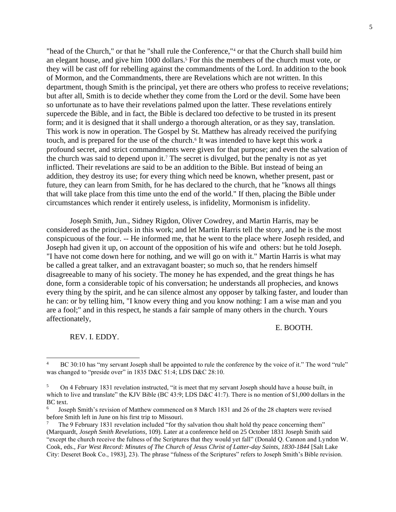"head of the Church," or that he "shall rule the Conference,"<sup>4</sup> or that the Church shall build him an elegant house, and give him 1000 dollars.<sup>5</sup> For this the members of the church must vote, or they will be cast off for rebelling against the commandments of the Lord. In addition to the book of Mormon, and the Commandments, there are Revelations which are not written. In this department, though Smith is the principal, yet there are others who profess to receive revelations; but after all, Smith is to decide whether they come from the Lord or the devil. Some have been so unfortunate as to have their revelations palmed upon the latter. These revelations entirely supercede the Bible, and in fact, the Bible is declared too defective to be trusted in its present form; and it is designed that it shall undergo a thorough alteration, or as they say, translation. This work is now in operation. The Gospel by St. Matthew has already received the purifying touch, and is prepared for the use of the church.<sup>6</sup> It was intended to have kept this work a profound secret, and strict commandments were given for that purpose; and even the salvation of the church was said to depend upon it.<sup>7</sup> The secret is divulged, but the penalty is not as yet inflicted. Their revelations are said to be an addition to the Bible. But instead of being an addition, they destroy its use; for every thing which need be known, whether present, past or future, they can learn from Smith, for he has declared to the church, that he "knows all things that will take place from this time unto the end of the world." If then, placing the Bible under circumstances which render it entirely useless, is infidelity, Mormonism is infidelity.

Joseph Smith, Jun., Sidney Rigdon, Oliver Cowdrey, and Martin Harris, may be considered as the principals in this work; and let Martin Harris tell the story, and he is the most conspicuous of the four. -- He informed me, that he went to the place where Joseph resided, and Joseph had given it up, on account of the opposition of his wife and others: but he told Joseph. "I have not come down here for nothing, and we will go on with it." Martin Harris is what may be called a great talker, and an extravagant boaster; so much so, that he renders himself disagreeable to many of his society. The money he has expended, and the great things he has done, form a considerable topic of his conversation; he understands all prophecies, and knows every thing by the spirit, and he can silence almost any opposer by talking faster, and louder than he can: or by telling him, "I know every thing and you know nothing: I am a wise man and you are a fool;" and in this respect, he stands a fair sample of many others in the church. Yours affectionately,

E. BOOTH.

REV. I. EDDY.

<sup>4</sup> BC 30:10 has "my servant Joseph shall be appointed to rule the conference by the voice of it." The word "rule" was changed to "preside over" in 1835 D&C 51:4; LDS D&C 28:10.

<sup>5</sup> On 4 February 1831 revelation instructed, "it is meet that my servant Joseph should have a house built, in which to live and translate" the KJV Bible (BC 43:9; LDS D&C 41:7). There is no mention of \$1,000 dollars in the BC text.

<sup>6</sup> Joseph Smith's revision of Matthew commenced on 8 March 1831 and 26 of the 28 chapters were revised before Smith left in June on his first trip to Missouri.

<sup>7</sup> The 9 February 1831 revelation included "for thy salvation thou shalt hold thy peace concerning them" (Marquardt, *Joseph Smith Revelations*, 109). Later at a conference held on 25 October 1831 Joseph Smith said "except the church receive the fulness of the Scriptures that they would yet fall" (Donald Q. Cannon and Lyndon W. Cook, eds., *Far West Record: Minutes of The Church of Jesus Christ of Latter-day Saints, 1830-1844* [Salt Lake City: Deseret Book Co., 1983], 23). The phrase "fulness of the Scriptures" refers to Joseph Smith's Bible revision.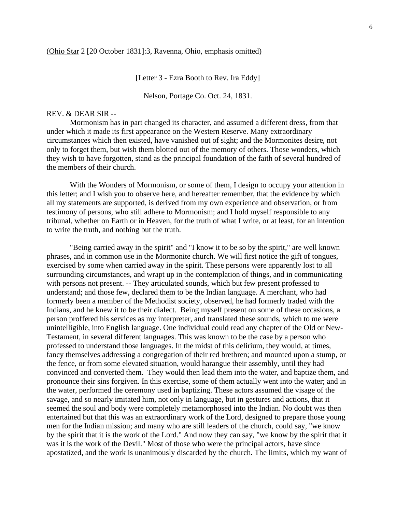[Letter 3 - Ezra Booth to Rev. Ira Eddy]

Nelson, Portage Co. Oct. 24, 1831.

# REV. & DEAR SIR --

Mormonism has in part changed its character, and assumed a different dress, from that under which it made its first appearance on the Western Reserve. Many extraordinary circumstances which then existed, have vanished out of sight; and the Mormonites desire, not only to forget them, but wish them blotted out of the memory of others. Those wonders, which they wish to have forgotten, stand as the principal foundation of the faith of several hundred of the members of their church.

With the Wonders of Mormonism, or some of them, I design to occupy your attention in this letter; and I wish you to observe here, and hereafter remember, that the evidence by which all my statements are supported, is derived from my own experience and observation, or from testimony of persons, who still adhere to Mormonism; and I hold myself responsible to any tribunal, whether on Earth or in Heaven, for the truth of what I write, or at least, for an intention to write the truth, and nothing but the truth.

"Being carried away in the spirit" and "I know it to be so by the spirit," are well known phrases, and in common use in the Mormonite church. We will first notice the gift of tongues, exercised by some when carried away in the spirit. These persons were apparently lost to all surrounding circumstances, and wrapt up in the contemplation of things, and in communicating with persons not present. -- They articulated sounds, which but few present professed to understand; and those few, declared them to be the Indian language. A merchant, who had formerly been a member of the Methodist society, observed, he had formerly traded with the Indians, and he knew it to be their dialect. Being myself present on some of these occasions, a person proffered his services as my interpreter, and translated these sounds, which to me were unintelligible, into English language. One individual could read any chapter of the Old or New-Testament, in several different languages. This was known to be the case by a person who professed to understand those languages. In the midst of this delirium, they would, at times, fancy themselves addressing a congregation of their red brethren; and mounted upon a stump, or the fence, or from some elevated situation, would harangue their assembly, until they had convinced and converted them. They would then lead them into the water, and baptize them, and pronounce their sins forgiven. In this exercise, some of them actually went into the water; and in the water, performed the ceremony used in baptizing. These actors assumed the visage of the savage, and so nearly imitated him, not only in language, but in gestures and actions, that it seemed the soul and body were completely metamorphosed into the Indian. No doubt was then entertained but that this was an extraordinary work of the Lord, designed to prepare those young men for the Indian mission; and many who are still leaders of the church, could say, "we know by the spirit that it is the work of the Lord." And now they can say, "we know by the spirit that it was it is the work of the Devil." Most of those who were the principal actors, have since apostatized, and the work is unanimously discarded by the church. The limits, which my want of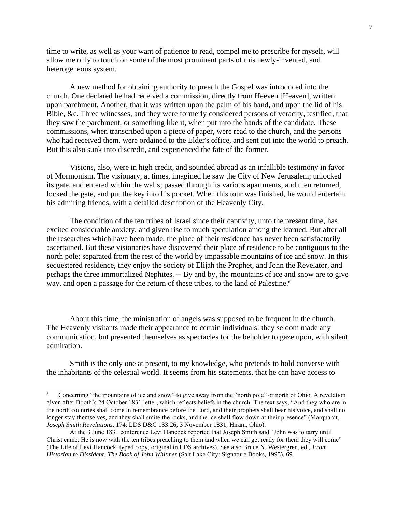time to write, as well as your want of patience to read, compel me to prescribe for myself, will allow me only to touch on some of the most prominent parts of this newly-invented, and heterogeneous system.

A new method for obtaining authority to preach the Gospel was introduced into the church. One declared he had received a commission, directly from Heeven [Heaven], written upon parchment. Another, that it was written upon the palm of his hand, and upon the lid of his Bible, &c. Three witnesses, and they were formerly considered persons of veracity, testified, that they saw the parchment, or something like it, when put into the hands of the candidate. These commissions, when transcribed upon a piece of paper, were read to the church, and the persons who had received them, were ordained to the Elder's office, and sent out into the world to preach. But this also sunk into discredit, and experienced the fate of the former.

Visions, also, were in high credit, and sounded abroad as an infallible testimony in favor of Mormonism. The visionary, at times, imagined he saw the City of New Jerusalem; unlocked its gate, and entered within the walls; passed through its various apartments, and then returned, locked the gate, and put the key into his pocket. When this tour was finished, he would entertain his admiring friends, with a detailed description of the Heavenly City.

The condition of the ten tribes of Israel since their captivity, unto the present time, has excited considerable anxiety, and given rise to much speculation among the learned. But after all the researches which have been made, the place of their residence has never been satisfactorily ascertained. But these visionaries have discovered their place of residence to be contiguous to the north pole; separated from the rest of the world by impassable mountains of ice and snow. In this sequestered residence, they enjoy the society of Elijah the Prophet, and John the Revelator, and perhaps the three immortalized Nephites. -- By and by, the mountains of ice and snow are to give way, and open a passage for the return of these tribes, to the land of Palestine.<sup>8</sup>

About this time, the ministration of angels was supposed to be frequent in the church. The Heavenly visitants made their appearance to certain individuals: they seldom made any communication, but presented themselves as spectacles for the beholder to gaze upon, with silent admiration.

Smith is the only one at present, to my knowledge, who pretends to hold converse with the inhabitants of the celestial world. It seems from his statements, that he can have access to

<sup>8</sup> Concerning "the mountains of ice and snow" to give away from the "north pole" or north of Ohio. A revelation given after Booth's 24 October 1831 letter, which reflects beliefs in the church. The text says, "And they who are in the north countries shall come in remembrance before the Lord, and their prophets shall hear his voice, and shall no longer stay themselves, and they shall smite the rocks, and the ice shall flow down at their presence" (Marquardt, *Joseph Smith Revelations*, 174; LDS D&C 133:26, 3 November 1831, Hiram, Ohio).

At the 3 June 1831 conference Levi Hancock reported that Joseph Smith said "John was to tarry until Christ came. He is now with the ten tribes preaching to them and when we can get ready for them they will come" (The Life of Levi Hancock, typed copy, original in LDS archives). See also Bruce N. Westergren, ed., *From Historian to Dissident: The Book of John Whitmer* (Salt Lake City: Signature Books, 1995), 69.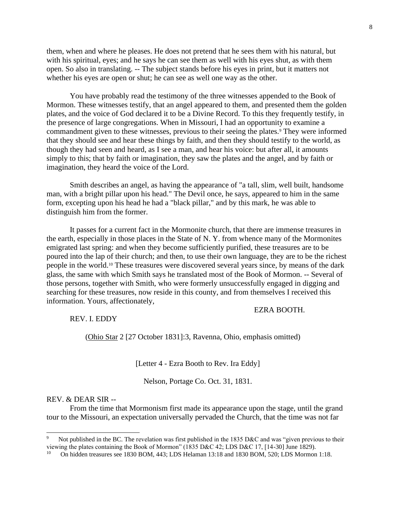them, when and where he pleases. He does not pretend that he sees them with his natural, but with his spiritual, eyes; and he says he can see them as well with his eyes shut, as with them open. So also in translating. -- The subject stands before his eyes in print, but it matters not whether his eyes are open or shut; he can see as well one way as the other.

You have probably read the testimony of the three witnesses appended to the Book of Mormon. These witnesses testify, that an angel appeared to them, and presented them the golden plates, and the voice of God declared it to be a Divine Record. To this they frequently testify, in the presence of large congregations. When in Missouri, I had an opportunity to examine a commandment given to these witnesses, previous to their seeing the plates.<sup>9</sup> They were informed that they should see and hear these things by faith, and then they should testify to the world, as though they had seen and heard, as I see a man, and hear his voice: but after all, it amounts simply to this; that by faith or imagination, they saw the plates and the angel, and by faith or imagination, they heard the voice of the Lord.

Smith describes an angel, as having the appearance of "a tall, slim, well built, handsome man, with a bright pillar upon his head." The Devil once, he says, appeared to him in the same form, excepting upon his head he had a "black pillar," and by this mark, he was able to distinguish him from the former.

It passes for a current fact in the Mormonite church, that there are immense treasures in the earth, especially in those places in the State of N. Y. from whence many of the Mormonites emigrated last spring: and when they become sufficiently purified, these treasures are to be poured into the lap of their church; and then, to use their own language, they are to be the richest people in the world.<sup>10</sup> These treasures were discovered several years since, by means of the dark glass, the same with which Smith says he translated most of the Book of Mormon. -- Several of those persons, together with Smith, who were formerly unsuccessfully engaged in digging and searching for these treasures, now reside in this county, and from themselves I received this information. Yours, affectionately,

REV. I. EDDY

(Ohio Star 2 [27 October 1831]:3, Ravenna, Ohio, emphasis omitted)

EZRA BOOTH.

[Letter 4 - Ezra Booth to Rev. Ira Eddy]

Nelson, Portage Co. Oct. 31, 1831.

## REV. & DEAR SIR --

From the time that Mormonism first made its appearance upon the stage, until the grand tour to the Missouri, an expectation universally pervaded the Church, that the time was not far

<sup>9</sup> Not published in the BC. The revelation was first published in the 1835 D&C and was "given previous to their viewing the plates containing the Book of Mormon" (1835 D&C 42; LDS D&C 17, [14-30] June 1829).

<sup>10</sup> On hidden treasures see 1830 BOM, 443; LDS Helaman 13:18 and 1830 BOM, 520; LDS Mormon 1:18.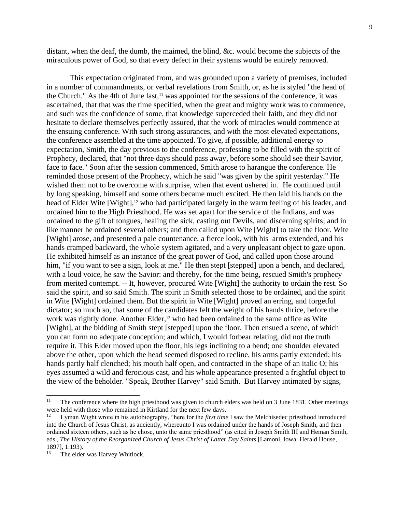distant, when the deaf, the dumb, the maimed, the blind, &c. would become the subjects of the miraculous power of God, so that every defect in their systems would be entirely removed.

This expectation originated from, and was grounded upon a variety of premises, included in a number of commandments, or verbal revelations from Smith, or, as he is styled "the head of the Church." As the 4th of June last, $11$  was appointed for the sessions of the conference, it was ascertained, that that was the time specified, when the great and mighty work was to commence, and such was the confidence of some, that knowledge superceded their faith, and they did not hesitate to declare themselves perfectly assured, that the work of miracles would commence at the ensuing conference. With such strong assurances, and with the most elevated expectations, the conference assembled at the time appointed. To give, if possible, additional energy to expectation, Smith, the day previous to the conference, professing to be filled with the spirit of Prophecy, declared, that "not three days should pass away, before some should see their Savior, face to face." Soon after the session commenced, Smith arose to harangue the conference. He reminded those present of the Prophecy, which he said "was given by the spirit yesterday." He wished them not to be overcome with surprise, when that event ushered in. He continued until by long speaking, himself and some others became much excited. He then laid his hands on the head of Elder Wite [Wight],<sup>12</sup> who had participated largely in the warm feeling of his leader, and ordained him to the High Priesthood. He was set apart for the service of the Indians, and was ordained to the gift of tongues, healing the sick, casting out Devils, and discerning spirits; and in like manner he ordained several others; and then called upon Wite [Wight] to take the floor. Wite [Wight] arose, and presented a pale countenance, a fierce look, with his arms extended, and his hands cramped backward, the whole system agitated, and a very unpleasant object to gaze upon. He exhibited himself as an instance of the great power of God, and called upon those around him, "if you want to see a sign, look at me." He then stept [stepped] upon a bench, and declared, with a loud voice, he saw the Savior: and thereby, for the time being, rescued Smith's prophecy from merited contempt. -- It, however, procured Wite [Wight] the authority to ordain the rest. So said the spirit, and so said Smith. The spirit in Smith selected those to be ordained, and the spirit in Wite [Wight] ordained them. But the spirit in Wite [Wight] proved an erring, and forgetful dictator; so much so, that some of the candidates felt the weight of his hands thrice, before the work was rightly done. Another Elder,<sup>13</sup> who had been ordained to the same office as Wite [Wight], at the bidding of Smith stept [stepped] upon the floor. Then ensued a scene, of which you can form no adequate conception; and which, I would forbear relating, did not the truth require it. This Elder moved upon the floor, his legs inclining to a bend; one shoulder elevated above the other, upon which the head seemed disposed to recline, his arms partly extended; his hands partly half clenched; his mouth half open, and contracted in the shape of an italic O; his eyes assumed a wild and ferocious cast, and his whole appearance presented a frightful object to the view of the beholder. "Speak, Brother Harvey" said Smith. But Harvey intimated by signs,

<sup>11</sup> The conference where the high priesthood was given to church elders was held on 3 June 1831. Other meetings were held with those who remained in Kirtland for the next few days.

<sup>12</sup> Lyman Wight wrote in his autobiography, "here for the *first time* I saw the Melchisedec priesthood introduced into the Church of Jesus Christ, as anciently, whereunto I was ordained under the hands of Joseph Smith, and then ordained sixteen others, such as he chose, unto the same priesthood" (as cited in Joseph Smith III and Heman Smith, eds., *The History of the Reorganized Church of Jesus Christ of Latter Day Saints* [Lamoni, Iowa: Herald House, 1897], 1:193).

<sup>13</sup> The elder was Harvey Whitlock.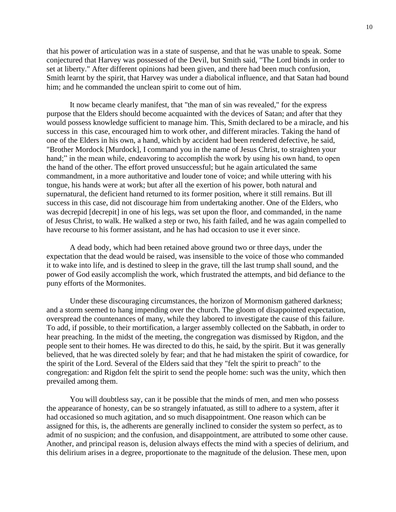that his power of articulation was in a state of suspense, and that he was unable to speak. Some conjectured that Harvey was possessed of the Devil, but Smith said, "The Lord binds in order to set at liberty." After different opinions had been given, and there had been much confusion, Smith learnt by the spirit, that Harvey was under a diabolical influence, and that Satan had bound him; and he commanded the unclean spirit to come out of him.

It now became clearly manifest, that "the man of sin was revealed," for the express purpose that the Elders should become acquainted with the devices of Satan; and after that they would possess knowledge sufficient to manage him. This, Smith declared to be a miracle, and his success in this case, encouraged him to work other, and different miracles. Taking the hand of one of the Elders in his own, a hand, which by accident had been rendered defective, he said, "Brother Mordock [Murdock], I command you in the name of Jesus Christ, to straighten your hand;" in the mean while, endeavoring to accomplish the work by using his own hand, to open the hand of the other. The effort proved unsuccessful; but he again articulated the same commandment, in a more authoritative and louder tone of voice; and while uttering with his tongue, his hands were at work; but after all the exertion of his power, both natural and supernatural, the deficient hand returned to its former position, where it still remains. But ill success in this case, did not discourage him from undertaking another. One of the Elders, who was decrepid [decrepit] in one of his legs, was set upon the floor, and commanded, in the name of Jesus Christ, to walk. He walked a step or two, his faith failed, and he was again compelled to have recourse to his former assistant, and he has had occasion to use it ever since.

A dead body, which had been retained above ground two or three days, under the expectation that the dead would be raised, was insensible to the voice of those who commanded it to wake into life, and is destined to sleep in the grave, till the last trump shall sound, and the power of God easily accomplish the work, which frustrated the attempts, and bid defiance to the puny efforts of the Mormonites.

Under these discouraging circumstances, the horizon of Mormonism gathered darkness; and a storm seemed to hang impending over the church. The gloom of disappointed expectation, overspread the countenances of many, while they labored to investigate the cause of this failure. To add, if possible, to their mortification, a larger assembly collected on the Sabbath, in order to hear preaching. In the midst of the meeting, the congregation was dismissed by Rigdon, and the people sent to their homes. He was directed to do this, he said, by the spirit. But it was generally believed, that he was directed solely by fear; and that he had mistaken the spirit of cowardice, for the spirit of the Lord. Several of the Elders said that they "felt the spirit to preach" to the congregation: and Rigdon felt the spirit to send the people home: such was the unity, which then prevailed among them.

You will doubtless say, can it be possible that the minds of men, and men who possess the appearance of honesty, can be so strangely infatuated, as still to adhere to a system, after it had occasioned so much agitation, and so much disappointment. One reason which can be assigned for this, is, the adherents are generally inclined to consider the system so perfect, as to admit of no suspicion; and the confusion, and disappointment, are attributed to some other cause. Another, and principal reason is, delusion always effects the mind with a species of delirium, and this delirium arises in a degree, proportionate to the magnitude of the delusion. These men, upon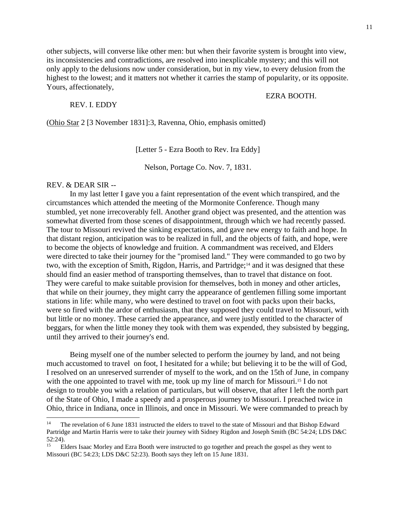EZRA BOOTH.

other subjects, will converse like other men: but when their favorite system is brought into view, its inconsistencies and contradictions, are resolved into inexplicable mystery; and this will not only apply to the delusions now under consideration, but in my view, to every delusion from the highest to the lowest; and it matters not whether it carries the stamp of popularity, or its opposite. Yours, affectionately,

#### REV. I. EDDY

(Ohio Star 2 [3 November 1831]:3, Ravenna, Ohio, emphasis omitted)

[Letter 5 - Ezra Booth to Rev. Ira Eddy]

Nelson, Portage Co. Nov. 7, 1831.

### REV. & DEAR SIR --

In my last letter I gave you a faint representation of the event which transpired, and the circumstances which attended the meeting of the Mormonite Conference. Though many stumbled, yet none irrecoverably fell. Another grand object was presented, and the attention was somewhat diverted from those scenes of disappointment, through which we had recently passed. The tour to Missouri revived the sinking expectations, and gave new energy to faith and hope. In that distant region, anticipation was to be realized in full, and the objects of faith, and hope, were to become the objects of knowledge and fruition. A commandment was received, and Elders were directed to take their journey for the "promised land." They were commanded to go two by two, with the exception of Smith, Rigdon, Harris, and Partridge;<sup>14</sup> and it was designed that these should find an easier method of transporting themselves, than to travel that distance on foot. They were careful to make suitable provision for themselves, both in money and other articles, that while on their journey, they might carry the appearance of gentlemen filling some important stations in life: while many, who were destined to travel on foot with packs upon their backs, were so fired with the ardor of enthusiasm, that they supposed they could travel to Missouri, with but little or no money. These carried the appearance, and were justly entitled to the character of beggars, for when the little money they took with them was expended, they subsisted by begging, until they arrived to their journey's end.

Being myself one of the number selected to perform the journey by land, and not being much accustomed to travel on foot, I hesitated for a while; but believing it to be the will of God, I resolved on an unreserved surrender of myself to the work, and on the 15th of June, in company with the one appointed to travel with me, took up my line of march for Missouri.<sup>15</sup> I do not design to trouble you with a relation of particulars, but will observe, that after I left the north part of the State of Ohio, I made a speedy and a prosperous journey to Missouri. I preached twice in Ohio, thrice in Indiana, once in Illinois, and once in Missouri. We were commanded to preach by

<sup>14</sup> The revelation of 6 June 1831 instructed the elders to travel to the state of Missouri and that Bishop Edward Partridge and Martin Harris were to take their journey with Sidney Rigdon and Joseph Smith (BC 54:24; LDS D&C 52:24).

<sup>15</sup> Elders Isaac Morley and Ezra Booth were instructed to go together and preach the gospel as they went to Missouri (BC 54:23; LDS D&C 52:23). Booth says they left on 15 June 1831.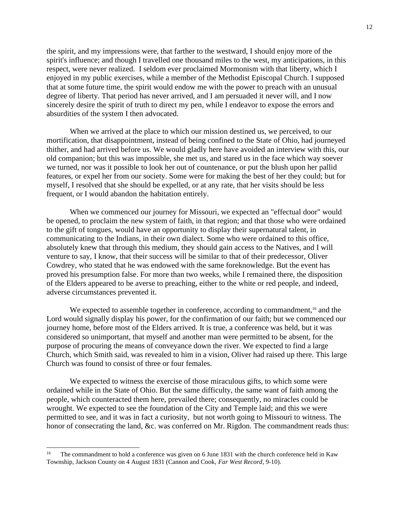the spirit, and my impressions were, that farther to the westward, I should enjoy more of the spirit's influence; and though I travelled one thousand miles to the west, my anticipations, in this respect, were never realized. I seldom ever proclaimed Mormonism with that liberty, which I enjoyed in my public exercises, while a member of the Methodist Episcopal Church. I supposed that at some future time, the spirit would endow me with the power to preach with an unusual degree of liberty. That period has never arrived, and I am persuaded it never will, and I now sincerely desire the spirit of truth to direct my pen, while I endeavor to expose the errors and absurdities of the system I then advocated.

When we arrived at the place to which our mission destined us, we perceived, to our mortification, that disappointment, instead of being confined to the State of Ohio, had journeyed thither, and had arrived before us. We would gladly here have avoided an interview with this, our old companion; but this was impossible, she met us, and stared us in the face which way soever we turned, nor was it possible to look her out of countenance, or put the blush upon her pallid features, or expel her from our society. Some were for making the best of her they could; but for myself, I resolved that she should be expelled, or at any rate, that her visits should be less frequent, or I would abandon the habitation entirely.

When we commenced our journey for Missouri, we expected an "effectual door" would be opened, to proclaim the new system of faith, in that region; and that those who were ordained to the gift of tongues, would have an opportunity to display their supernatural talent, in communicating to the Indians, in their own dialect. Some who were ordained to this office, absolutely knew that through this medium, they should gain access to the Natives, and I will venture to say, I know, that their success will be similar to that of their predecessor, Oliver Cowdrey, who stated that he was endowed with the same foreknowledge. But the event has proved his presumption false. For more than two weeks, while I remained there, the disposition of the Elders appeared to be averse to preaching, either to the white or red people, and indeed, adverse circumstances prevented it.

We expected to assemble together in conference, according to commandment,<sup>16</sup> and the Lord would signally display his power, for the confirmation of our faith; but we commenced our journey home, before most of the Elders arrived. It is true, a conference was held, but it was considered so unimportant, that myself and another man were permitted to be absent, for the purpose of procuring the means of conveyance down the river. We expected to find a large Church, which Smith said, was revealed to him in a vision, Oliver had raised up there. This large Church was found to consist of three or four females.

We expected to witness the exercise of those miraculous gifts, to which some were ordained while in the State of Ohio. But the same difficulty, the same want of faith among the people, which counteracted them here, prevailed there; consequently, no miracles could be wrought. We expected to see the foundation of the City and Temple laid; and this we were permitted to see, and it was in fact a curiosity, but not worth going to Missouri to witness. The honor of consecrating the land, &c. was conferred on Mr. Rigdon. The commandment reads thus:

<sup>16</sup> The commandment to hold a conference was given on 6 June 1831 with the church conference held in Kaw Township, Jackson County on 4 August 1831 (Cannon and Cook, *Far West Record*, 9-10).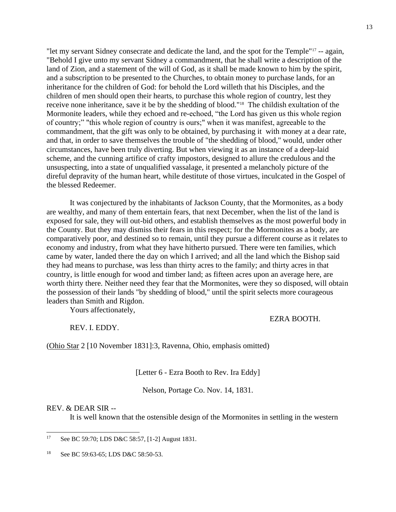"let my servant Sidney consecrate and dedicate the land, and the spot for the Temple"<sup>17</sup> -- again, "Behold I give unto my servant Sidney a commandment, that he shall write a description of the land of Zion, and a statement of the will of God, as it shall be made known to him by the spirit, and a subscription to be presented to the Churches, to obtain money to purchase lands, for an inheritance for the children of God: for behold the Lord willeth that his Disciples, and the children of men should open their hearts, to purchase this whole region of country, lest they receive none inheritance, save it be by the shedding of blood."<sup>18</sup> The childish exultation of the Mormonite leaders, while they echoed and re-echoed, "the Lord has given us this whole region of country;" "this whole region of country is ours;" when it was manifest, agreeable to the commandment, that the gift was only to be obtained, by purchasing it with money at a dear rate, and that, in order to save themselves the trouble of "the shedding of blood," would, under other circumstances, have been truly diverting. But when viewing it as an instance of a deep-laid scheme, and the cunning artifice of crafty impostors, designed to allure the credulous and the unsuspecting, into a state of unqualified vassalage, it presented a melancholy picture of the direful depravity of the human heart, while destitute of those virtues, inculcated in the Gospel of the blessed Redeemer.

It was conjectured by the inhabitants of Jackson County, that the Mormonites, as a body are wealthy, and many of them entertain fears, that next December, when the list of the land is exposed for sale, they will out-bid others, and establish themselves as the most powerful body in the County. But they may dismiss their fears in this respect; for the Mormonites as a body, are comparatively poor, and destined so to remain, until they pursue a different course as it relates to economy and industry, from what they have hitherto pursued. There were ten families, which came by water, landed there the day on which I arrived; and all the land which the Bishop said they had means to purchase, was less than thirty acres to the family; and thirty acres in that country, is little enough for wood and timber land; as fifteen acres upon an average here, are worth thirty there. Neither need they fear that the Mormonites, were they so disposed, will obtain the possession of their lands "by shedding of blood," until the spirit selects more courageous leaders than Smith and Rigdon.

Yours affectionately,

EZRA BOOTH.

REV. I. EDDY.

(Ohio Star 2 [10 November 1831]:3, Ravenna, Ohio, emphasis omitted)

[Letter 6 - Ezra Booth to Rev. Ira Eddy]

Nelson, Portage Co. Nov. 14, 1831.

## REV. & DEAR SIR --

It is well known that the ostensible design of the Mormonites in settling in the western

<sup>17</sup> See BC 59:70; LDS D&C 58:57, [1-2] August 1831.

<sup>18</sup> See BC 59:63-65; LDS D&C 58:50-53.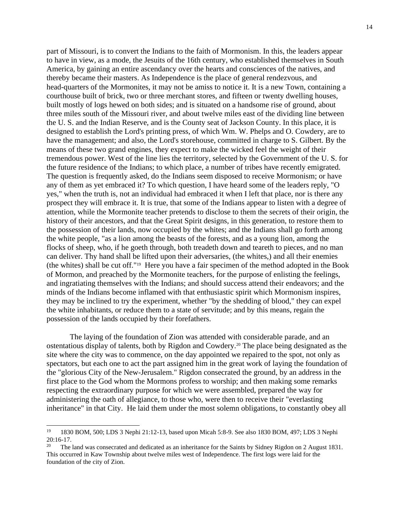part of Missouri, is to convert the Indians to the faith of Mormonism. In this, the leaders appear to have in view, as a mode, the Jesuits of the 16th century, who established themselves in South America, by gaining an entire ascendancy over the hearts and consciences of the natives, and thereby became their masters. As Independence is the place of general rendezvous, and head-quarters of the Mormonites, it may not be amiss to notice it. It is a new Town, containing a courthouse built of brick, two or three merchant stores, and fifteen or twenty dwelling houses, built mostly of logs hewed on both sides; and is situated on a handsome rise of ground, about three miles south of the Missouri river, and about twelve miles east of the dividing line between the U. S. and the Indian Reserve, and is the County seat of Jackson County. In this place, it is designed to establish the Lord's printing press, of which Wm. W. Phelps and O. Cowdery, are to have the management; and also, the Lord's storehouse, committed in charge to S. Gilbert. By the means of these two grand engines, they expect to make the wicked feel the weight of their tremendous power. West of the line lies the territory, selected by the Government of the U. S. for the future residence of the Indians; to which place, a number of tribes have recently emigrated. The question is frequently asked, do the Indians seem disposed to receive Mormonism; or have any of them as yet embraced it? To which question, I have heard some of the leaders reply, "O yes," when the truth is, not an individual had embraced it when I left that place, nor is there any prospect they will embrace it. It is true, that some of the Indians appear to listen with a degree of attention, while the Mormonite teacher pretends to disclose to them the secrets of their origin, the history of their ancestors, and that the Great Spirit designs, in this generation, to restore them to the possession of their lands, now occupied by the whites; and the Indians shall go forth among the white people, "as a lion among the beasts of the forests, and as a young lion, among the flocks of sheep, who, if he goeth through, both treadeth down and teareth to pieces, and no man can deliver. Thy hand shall be lifted upon their adversaries, (the whites,) and all their enemies (the whites) shall be cut off."<sup>19</sup> Here you have a fair specimen of the method adopted in the Book of Mormon, and preached by the Mormonite teachers, for the purpose of enlisting the feelings, and ingratiating themselves with the Indians; and should success attend their endeavors; and the minds of the Indians become inflamed with that enthusiastic spirit which Mormonism inspires, they may be inclined to try the experiment, whether "by the shedding of blood," they can expel the white inhabitants, or reduce them to a state of servitude; and by this means, regain the possession of the lands occupied by their forefathers.

The laying of the foundation of Zion was attended with considerable parade, and an ostentatious display of talents, both by Rigdon and Cowdery.<sup>20</sup> The place being designated as the site where the city was to commence, on the day appointed we repaired to the spot, not only as spectators, but each one to act the part assigned him in the great work of laying the foundation of the "glorious City of the New-Jerusalem." Rigdon consecrated the ground, by an address in the first place to the God whom the Mormons profess to worship; and then making some remarks respecting the extraordinary purpose for which we were assembled, prepared the way for administering the oath of allegiance, to those who, were then to receive their "everlasting inheritance" in that City. He laid them under the most solemn obligations, to constantly obey all

<sup>19</sup> 1830 BOM, 500; LDS 3 Nephi 21:12-13, based upon Micah 5:8-9. See also 1830 BOM, 497; LDS 3 Nephi 20:16-17.

<sup>20</sup> The land was consecrated and dedicated as an inheritance for the Saints by Sidney Rigdon on 2 August 1831. This occurred in Kaw Township about twelve miles west of Independence. The first logs were laid for the foundation of the city of Zion.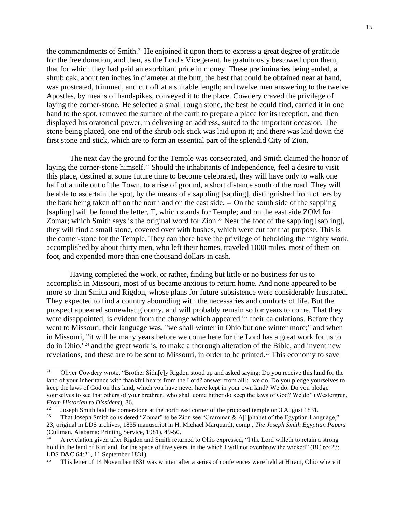the commandments of Smith.<sup>21</sup> He enjoined it upon them to express a great degree of gratitude for the free donation, and then, as the Lord's Vicegerent, he gratuitously bestowed upon them, that for which they had paid an exorbitant price in money. These preliminaries being ended, a shrub oak, about ten inches in diameter at the butt, the best that could be obtained near at hand, was prostrated, trimmed, and cut off at a suitable length; and twelve men answering to the twelve Apostles, by means of handspikes, conveyed it to the place. Cowdery craved the privilege of laying the corner-stone. He selected a small rough stone, the best he could find, carried it in one hand to the spot, removed the surface of the earth to prepare a place for its reception, and then displayed his oratorical power, in delivering an address, suited to the important occasion. The stone being placed, one end of the shrub oak stick was laid upon it; and there was laid down the first stone and stick, which are to form an essential part of the splendid City of Zion.

The next day the ground for the Temple was consecrated, and Smith claimed the honor of laying the corner-stone himself.<sup>22</sup> Should the inhabitants of Independence, feel a desire to visit this place, destined at some future time to become celebrated, they will have only to walk one half of a mile out of the Town, to a rise of ground, a short distance south of the road. They will be able to ascertain the spot, by the means of a sappling [sapling], distinguished from others by the bark being taken off on the north and on the east side. -- On the south side of the sappling [sapling] will be found the letter, T, which stands for Temple; and on the east side ZOM for Zomar; which Smith says is the original word for Zion.<sup>23</sup> Near the foot of the sappling [sapling], they will find a small stone, covered over with bushes, which were cut for that purpose. This is the corner-stone for the Temple. They can there have the privilege of beholding the mighty work, accomplished by about thirty men, who left their homes, traveled 1000 miles, most of them on foot, and expended more than one thousand dollars in cash.

Having completed the work, or rather, finding but little or no business for us to accomplish in Missouri, most of us became anxious to return home. And none appeared to be more so than Smith and Rigdon, whose plans for future subsistence were considerably frustrated. They expected to find a country abounding with the necessaries and comforts of life. But the prospect appeared somewhat gloomy, and will probably remain so for years to come. That they were disappointed, is evident from the change which appeared in their calculations. Before they went to Missouri, their language was, "we shall winter in Ohio but one winter more;" and when in Missouri, "it will be many years before we come here for the Lord has a great work for us to do in Ohio,"<sup>24</sup> and the great work is, to make a thorough alteration of the Bible, and invent new revelations, and these are to be sent to Missouri, in order to be printed.<sup>25</sup> This economy to save

<sup>21</sup> Oliver Cowdery wrote, "Brother Sidn[e]y Rigdon stood up and asked saying: Do you receive this land for the land of your inheritance with thankful hearts from the Lord? answer from all[:] we do. Do you pledge yourselves to keep the laws of God on this land, which you have never have kept in your own land? We do. Do you pledge yourselves to see that others of your brethren, who shall come hither do keep the laws of God? We do" (Westergren, *From Historian to Dissident*), 86.  $22$ 

Joseph Smith laid the cornerstone at the north east corner of the proposed temple on 3 August 1831.

<sup>23</sup> That Joseph Smith considered "Zomar" to be Zion see "Grammar & A[l]phabet of the Egyptian Language," 23, original in LDS archives, 1835 manuscript in H. Michael Marquardt, comp., *The Joseph Smith Egyptian Papers* (Cullman, Alabama: Printing Service, 1981), 49-50.

<sup>24</sup> A revelation given after Rigdon and Smith returned to Ohio expressed, "I the Lord willeth to retain a strong hold in the land of Kirtland, for the space of five years, in the which I will not overthrow the wicked" (BC 65:27; LDS D&C 64:21, 11 September 1831).

<sup>25</sup> This letter of 14 November 1831 was written after a series of conferences were held at Hiram, Ohio where it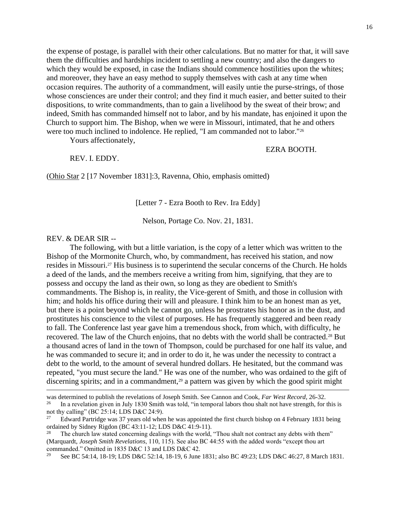the expense of postage, is parallel with their other calculations. But no matter for that, it will save them the difficulties and hardships incident to settling a new country; and also the dangers to which they would be exposed, in case the Indians should commence hostilities upon the whites; and moreover, they have an easy method to supply themselves with cash at any time when occasion requires. The authority of a commandment, will easily untie the purse-strings, of those whose consciences are under their control; and they find it much easier, and better suited to their dispositions, to write commandments, than to gain a livelihood by the sweat of their brow; and indeed, Smith has commanded himself not to labor, and by his mandate, has enjoined it upon the Church to support him. The Bishop, when we were in Missouri, intimated, that he and others were too much inclined to indolence. He replied, "I am commanded not to labor."<sup>26</sup>

Yours affectionately,

EZRA BOOTH.

REV. I. EDDY.

(Ohio Star 2 [17 November 1831]:3, Ravenna, Ohio, emphasis omitted)

[Letter 7 - Ezra Booth to Rev. Ira Eddy]

Nelson, Portage Co. Nov. 21, 1831.

# REV. & DEAR SIR --

The following, with but a little variation, is the copy of a letter which was written to the Bishop of the Mormonite Church, who, by commandment, has received his station, and now resides in Missouri.<sup>27</sup> His business is to superintend the secular concerns of the Church. He holds a deed of the lands, and the members receive a writing from him, signifying, that they are to possess and occupy the land as their own, so long as they are obedient to Smith's commandments. The Bishop is, in reality, the Vice-gerent of Smith, and those in collusion with him; and holds his office during their will and pleasure. I think him to be an honest man as yet, but there is a point beyond which he cannot go, unless he prostrates his honor as in the dust, and prostitutes his conscience to the vilest of purposes. He has frequently staggered and been ready to fall. The Conference last year gave him a tremendous shock, from which, with difficulty, he recovered. The law of the Church enjoins, that no debts with the world shall be contracted.<sup>28</sup> But a thousand acres of land in the town of Thompson, could be purchased for one half its value, and he was commanded to secure it; and in order to do it, he was under the necessity to contract a debt to the world, to the amount of several hundred dollars. He hesitated, but the command was repeated, "you must secure the land." He was one of the number, who was ordained to the gift of discerning spirits; and in a commandment, $29$  a pattern was given by which the good spirit might

was determined to publish the revelations of Joseph Smith. See Cannon and Cook, *Far West Record*, 26-32.

<sup>26</sup> In a revelation given in July 1830 Smith was told, "in temporal labors thou shalt not have strength, for this is not thy calling" (BC 25:14; LDS D&C 24:9).

<sup>27</sup> Edward Partridge was 37 years old when he was appointed the first church bishop on 4 February 1831 being ordained by Sidney Rigdon (BC 43:11-12; LDS D&C 41:9-11).

<sup>28</sup> The church law stated concerning dealings with the world, "Thou shalt not contract any debts with them" (Marquardt, *Joseph Smith Revelations*, 110, 115). See also BC 44:55 with the added words "except thou art commanded." Omitted in 1835 D&C 13 and LDS D&C 42.

<sup>29</sup> See BC 54:14, 18-19; LDS D&C 52:14, 18-19, 6 June 1831; also BC 49:23; LDS D&C 46:27, 8 March 1831.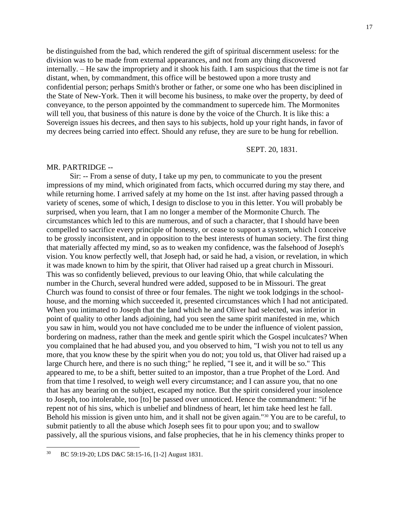be distinguished from the bad, which rendered the gift of spiritual discernment useless: for the division was to be made from external appearances, and not from any thing discovered internally. – He saw the impropriety and it shook his faith. I am suspicious that the time is not far distant, when, by commandment, this office will be bestowed upon a more trusty and confidential person; perhaps Smith's brother or father, or some one who has been disciplined in the State of New-York. Then it will become his business, to make over the property, by deed of conveyance, to the person appointed by the commandment to supercede him. The Mormonites will tell you, that business of this nature is done by the voice of the Church. It is like this: a Sovereign issues his decrees, and then says to his subjects, hold up your right hands, in favor of my decrees being carried into effect. Should any refuse, they are sure to be hung for rebellion.

SEPT. 20, 1831.

## MR. PARTRIDGE --

Sir: -- From a sense of duty, I take up my pen, to communicate to you the present impressions of my mind, which originated from facts, which occurred during my stay there, and while returning home. I arrived safely at my home on the 1st inst. after having passed through a variety of scenes, some of which, I design to disclose to you in this letter. You will probably be surprised, when you learn, that I am no longer a member of the Mormonite Church. The circumstances which led to this are numerous, and of such a character, that I should have been compelled to sacrifice every principle of honesty, or cease to support a system, which I conceive to be grossly inconsistent, and in opposition to the best interests of human society. The first thing that materially affected my mind, so as to weaken my confidence, was the falsehood of Joseph's vision. You know perfectly well, that Joseph had, or said he had, a vision, or revelation, in which it was made known to him by the spirit, that Oliver had raised up a great church in Missouri. This was so confidently believed, previous to our leaving Ohio, that while calculating the number in the Church, several hundred were added, supposed to be in Missouri. The great Church was found to consist of three or four females. The night we took lodgings in the schoolhouse, and the morning which succeeded it, presented circumstances which I had not anticipated. When you intimated to Joseph that the land which he and Oliver had selected, was inferior in point of quality to other lands adjoining, had you seen the same spirit manifested in me, which you saw in him, would you not have concluded me to be under the influence of violent passion, bordering on madness, rather than the meek and gentle spirit which the Gospel inculcates? When you complained that he had abused you, and you observed to him, "I wish you not to tell us any more, that you know these by the spirit when you do not; you told us, that Oliver had raised up a large Church here, and there is no such thing;" he replied, "I see it, and it will be so." This appeared to me, to be a shift, better suited to an impostor, than a true Prophet of the Lord. And from that time I resolved, to weigh well every circumstance; and I can assure you, that no one that has any bearing on the subject, escaped my notice. But the spirit considered your insolence to Joseph, too intolerable, too [to] be passed over unnoticed. Hence the commandment: "if he repent not of his sins, which is unbelief and blindness of heart, let him take heed lest he fall. Behold his mission is given unto him, and it shall not be given again."<sup>30</sup> You are to be careful, to submit patiently to all the abuse which Joseph sees fit to pour upon you; and to swallow passively, all the spurious visions, and false prophecies, that he in his clemency thinks proper to

<sup>30</sup> BC 59:19-20; LDS D&C 58:15-16, [1-2] August 1831.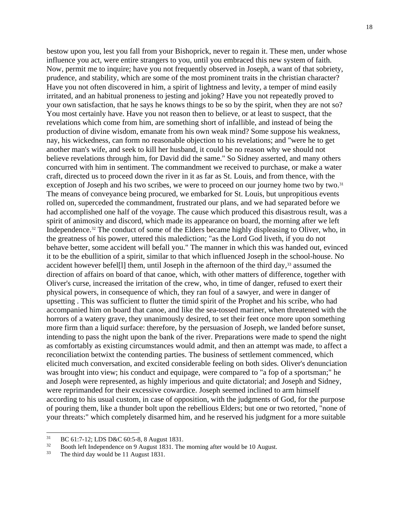bestow upon you, lest you fall from your Bishoprick, never to regain it. These men, under whose influence you act, were entire strangers to you, until you embraced this new system of faith. Now, permit me to inquire; have you not frequently observed in Joseph, a want of that sobriety, prudence, and stability, which are some of the most prominent traits in the christian character? Have you not often discovered in him, a spirit of lightness and levity, a temper of mind easily irritated, and an habitual proneness to jesting and joking? Have you not repeatedly proved to your own satisfaction, that he says he knows things to be so by the spirit, when they are not so? You most certainly have. Have you not reason then to believe, or at least to suspect, that the revelations which come from him, are something short of infallible, and instead of being the production of divine wisdom, emanate from his own weak mind? Some suppose his weakness, nay, his wickedness, can form no reasonable objection to his revelations; and "were he to get another man's wife, and seek to kill her husband, it could be no reason why we should not believe revelations through him, for David did the same." So Sidney asserted, and many others concurred with him in sentiment. The commandment we received to purchase, or make a water craft, directed us to proceed down the river in it as far as St. Louis, and from thence, with the exception of Joseph and his two scribes, we were to proceed on our journey home two by two.<sup>31</sup> The means of conveyance being procured, we embarked for St. Louis, but unpropitious events rolled on, superceded the commandment, frustrated our plans, and we had separated before we had accomplished one half of the voyage. The cause which produced this disastrous result, was a spirit of animosity and discord, which made its appearance on board, the morning after we left Independence.<sup>32</sup> The conduct of some of the Elders became highly displeasing to Oliver, who, in the greatness of his power, uttered this malediction; "as the Lord God liveth, if you do not behave better, some accident will befall you." The manner in which this was handed out, evinced it to be the ebullition of a spirit, similar to that which influenced Joseph in the school-house. No accident however befel<sup>[1]</sup> them, until Joseph in the afternoon of the third day,<sup>33</sup> assumed the direction of affairs on board of that canoe, which, with other matters of difference, together with Oliver's curse, increased the irritation of the crew, who, in time of danger, refused to exert their physical powers, in consequence of which, they ran foul of a sawyer, and were in danger of upsetting . This was sufficient to flutter the timid spirit of the Prophet and his scribe, who had accompanied him on board that canoe, and like the sea-tossed mariner, when threatened with the horrors of a watery grave, they unanimously desired, to set their feet once more upon something more firm than a liquid surface: therefore, by the persuasion of Joseph, we landed before sunset, intending to pass the night upon the bank of the river. Preparations were made to spend the night as comfortably as existing circumstances would admit, and then an attempt was made, to affect a reconciliation betwixt the contending parties. The business of settlement commenced, which elicited much conversation, and excited considerable feeling on both sides. Oliver's denunciation was brought into view; his conduct and equipage, were compared to "a fop of a sportsman;" he and Joseph were represented, as highly imperious and quite dictatorial; and Joseph and Sidney, were reprimanded for their excessive cowardice. Joseph seemed inclined to arm himself according to his usual custom, in case of opposition, with the judgments of God, for the purpose of pouring them, like a thunder bolt upon the rebellious Elders; but one or two retorted, "none of your threats:" which completely disarmed him, and he reserved his judgment for a more suitable

<sup>31</sup> BC 61:7-12; LDS D&C 60:5-8, 8 August 1831.

<sup>32</sup> Booth left Independence on 9 August 1831. The morning after would be 10 August.

<sup>33</sup> The third day would be 11 August 1831.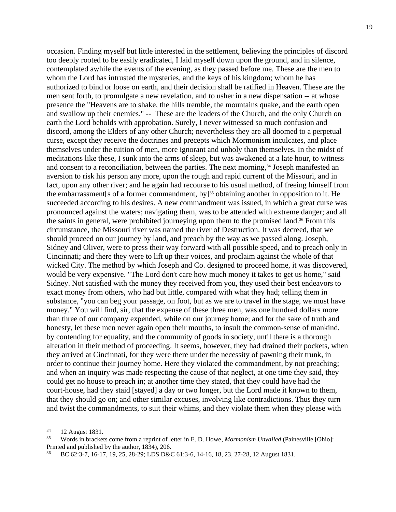occasion. Finding myself but little interested in the settlement, believing the principles of discord too deeply rooted to be easily eradicated, I laid myself down upon the ground, and in silence, contemplated awhile the events of the evening, as they passed before me. These are the men to whom the Lord has intrusted the mysteries, and the keys of his kingdom; whom he has authorized to bind or loose on earth, and their decision shall be ratified in Heaven. These are the men sent forth, to promulgate a new revelation, and to usher in a new dispensation -- at whose presence the "Heavens are to shake, the hills tremble, the mountains quake, and the earth open and swallow up their enemies." -- These are the leaders of the Church, and the only Church on earth the Lord beholds with approbation. Surely, I never witnessed so much confusion and discord, among the Elders of any other Church; nevertheless they are all doomed to a perpetual curse, except they receive the doctrines and precepts which Mormonism inculcates, and place themselves under the tuition of men, more ignorant and unholy than themselves. In the midst of meditations like these, I sunk into the arms of sleep, but was awakened at a late hour, to witness and consent to a reconciliation, between the parties. The next morning,<sup>34</sup> Joseph manifested an aversion to risk his person any more, upon the rough and rapid current of the Missouri, and in fact, upon any other river; and he again had recourse to his usual method, of freeing himself from the embarrassment [s of a former commandment, by]<sup>35</sup> obtaining another in opposition to it. He succeeded according to his desires. A new commandment was issued, in which a great curse was pronounced against the waters; navigating them, was to be attended with extreme danger; and all the saints in general, were prohibited journeying upon them to the promised land.<sup>36</sup> From this circumstance, the Missouri river was named the river of Destruction. It was decreed, that we should proceed on our journey by land, and preach by the way as we passed along. Joseph, Sidney and Oliver, were to press their way forward with all possible speed, and to preach only in Cincinnati; and there they were to lift up their voices, and proclaim against the whole of that wicked City. The method by which Joseph and Co. designed to proceed home, it was discovered, would be very expensive. "The Lord don't care how much money it takes to get us home," said Sidney. Not satisfied with the money they received from you, they used their best endeavors to exact money from others, who had but little, compared with what they had; telling them in substance, "you can beg your passage, on foot, but as we are to travel in the stage, we must have money." You will find, sir, that the expense of these three men, was one hundred dollars more than three of our company expended, while on our journey home; and for the sake of truth and honesty, let these men never again open their mouths, to insult the common-sense of mankind, by contending for equality, and the community of goods in society, until there is a thorough alteration in their method of proceeding. It seems, however, they had drained their pockets, when they arrived at Cincinnati, for they were there under the necessity of pawning their trunk, in order to continue their journey home. Here they violated the commandment, by not preaching; and when an inquiry was made respecting the cause of that neglect, at one time they said, they could get no house to preach in; at another time they stated, that they could have had the court-house, had they staid [stayed] a day or two longer, but the Lord made it known to them, that they should go on; and other similar excuses, involving like contradictions. Thus they turn and twist the commandments, to suit their whims, and they violate them when they please with

<sup>34</sup> 12 August 1831.

<sup>35</sup> Words in brackets come from a reprint of letter in E. D. Howe, *Mormonism Unvailed* (Painesville [Ohio]: Printed and published by the author, 1834), 206.

<sup>36</sup> BC 62:3-7, 16-17, 19, 25, 28-29; LDS D&C 61:3-6, 14-16, 18, 23, 27-28, 12 August 1831.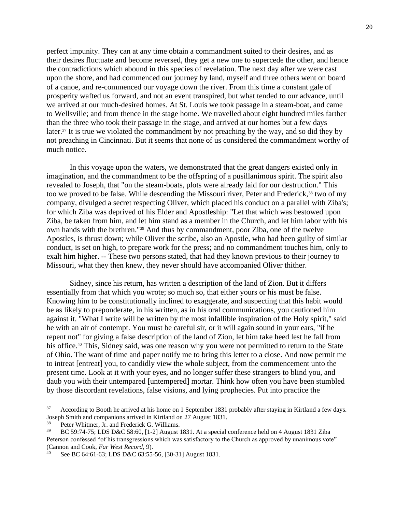perfect impunity. They can at any time obtain a commandment suited to their desires, and as their desires fluctuate and become reversed, they get a new one to supercede the other, and hence the contradictions which abound in this species of revelation. The next day after we were cast upon the shore, and had commenced our journey by land, myself and three others went on board of a canoe, and re-commenced our voyage down the river. From this time a constant gale of prosperity wafted us forward, and not an event transpired, but what tended to our advance, until we arrived at our much-desired homes. At St. Louis we took passage in a steam-boat, and came to Wellsville; and from thence in the stage home. We travelled about eight hundred miles farther than the three who took their passage in the stage, and arrived at our homes but a few days later.<sup>37</sup> It is true we violated the commandment by not preaching by the way, and so did they by not preaching in Cincinnati. But it seems that none of us considered the commandment worthy of much notice.

In this voyage upon the waters, we demonstrated that the great dangers existed only in imagination, and the commandment to be the offspring of a pusillanimous spirit. The spirit also revealed to Joseph, that "on the steam-boats, plots were already laid for our destruction." This too we proved to be false. While descending the Missouri river, Peter and Frederick,<sup>38</sup> two of my company, divulged a secret respecting Oliver, which placed his conduct on a parallel with Ziba's; for which Ziba was deprived of his Elder and Apostleship: "Let that which was bestowed upon Ziba, be taken from him, and let him stand as a member in the Church, and let him labor with his own hands with the brethren."<sup>39</sup> And thus by commandment, poor Ziba, one of the twelve Apostles, is thrust down; while Oliver the scribe, also an Apostle, who had been guilty of similar conduct, is set on high, to prepare work for the press; and no commandment touches him, only to exalt him higher. -- These two persons stated, that had they known previous to their journey to Missouri, what they then knew, they never should have accompanied Oliver thither.

Sidney, since his return, has written a description of the land of Zion. But it differs essentially from that which you wrote; so much so, that either yours or his must be false. Knowing him to be constitutionally inclined to exaggerate, and suspecting that this habit would be as likely to preponderate, in his written, as in his oral communications, you cautioned him against it. "What I write will be written by the most infallible inspiration of the Holy spirit," said he with an air of contempt. You must be careful sir, or it will again sound in your ears, "if he repent not" for giving a false description of the land of Zion, let him take heed lest he fall from his office.<sup>40</sup> This, Sidney said, was one reason why you were not permitted to return to the State of Ohio. The want of time and paper notify me to bring this letter to a close. And now permit me to intreat [entreat] you, to candidly view the whole subject, from the commencement unto the present time. Look at it with your eyes, and no longer suffer these strangers to blind you, and daub you with their untempared [untempered] mortar. Think how often you have been stumbled by those discordant revelations, false visions, and lying prophecies. Put into practice the

<sup>37</sup> According to Booth he arrived at his home on 1 September 1831 probably after staying in Kirtland a few days. Joseph Smith and companions arrived in Kirtland on 27 August 1831.

<sup>38</sup> Peter Whitmer, Jr. and Frederick G. Williams.

<sup>39</sup> BC 59:74-75; LDS D&C 58:60, [1-2] August 1831. At a special conference held on 4 August 1831 Ziba Peterson confessed "of his transgressions which was satisfactory to the Church as approved by unanimous vote" (Cannon and Cook, *Far West Record*, 9).

<sup>40</sup> See BC 64:61-63; LDS D&C 63:55-56, [30-31] August 1831.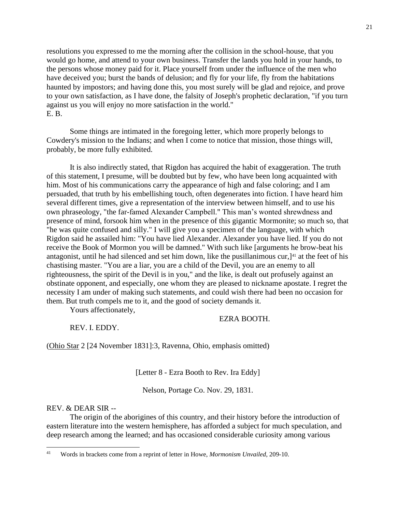resolutions you expressed to me the morning after the collision in the school-house, that you would go home, and attend to your own business. Transfer the lands you hold in your hands, to the persons whose money paid for it. Place yourself from under the influence of the men who have deceived you; burst the bands of delusion; and fly for your life, fly from the habitations haunted by impostors; and having done this, you most surely will be glad and rejoice, and prove to your own satisfaction, as I have done, the falsity of Joseph's prophetic declaration, "if you turn against us you will enjoy no more satisfaction in the world." E. B.

Some things are intimated in the foregoing letter, which more properly belongs to Cowdery's mission to the Indians; and when I come to notice that mission, those things will, probably, be more fully exhibited.

It is also indirectly stated, that Rigdon has acquired the habit of exaggeration. The truth of this statement, I presume, will be doubted but by few, who have been long acquainted with him. Most of his communications carry the appearance of high and false coloring; and I am persuaded, that truth by his embellishing touch, often degenerates into fiction. I have heard him several different times, give a representation of the interview between himself, and to use his own phraseology, "the far-famed Alexander Campbell." This man's wonted shrewdness and presence of mind, forsook him when in the presence of this gigantic Mormonite; so much so, that "he was quite confused and silly." I will give you a specimen of the language, with which Rigdon said he assailed him: "You have lied Alexander. Alexander you have lied. If you do not receive the Book of Mormon you will be damned." With such like [arguments he brow-beat his antagonist, until he had silenced and set him down, like the pusillanimous cur, $]$ <sup>41</sup> at the feet of his chastising master. "You are a liar, you are a child of the Devil, you are an enemy to all righteousness, the spirit of the Devil is in you," and the like, is dealt out profusely against an obstinate opponent, and especially, one whom they are pleased to nickname apostate. I regret the necessity I am under of making such statements, and could wish there had been no occasion for them. But truth compels me to it, and the good of society demands it.

Yours affectionately,

## EZRA BOOTH.

REV. I. EDDY.

(Ohio Star 2 [24 November 1831]:3, Ravenna, Ohio, emphasis omitted)

[Letter 8 - Ezra Booth to Rev. Ira Eddy]

Nelson, Portage Co. Nov. 29, 1831.

## REV. & DEAR SIR --

The origin of the aborigines of this country, and their history before the introduction of eastern literature into the western hemisphere, has afforded a subject for much speculation, and deep research among the learned; and has occasioned considerable curiosity among various

<sup>41</sup> Words in brackets come from a reprint of letter in Howe, *Mormonism Unvailed*, 209-10.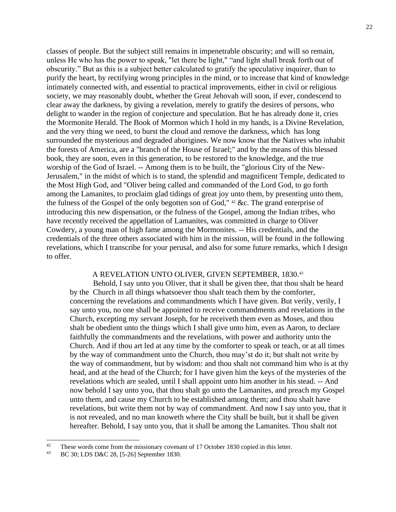classes of people. But the subject still remains in impenetrable obscurity; and will so remain, unless He who has the power to speak, "let there be light," "and light shall break forth out of obscurity." But as this is a subject better calculated to gratify the speculative inquirer, than to purify the heart, by rectifying wrong principles in the mind, or to increase that kind of knowledge intimately connected with, and essential to practical improvements, either in civil or religious society, we may reasonably doubt, whether the Great Jehovah will soon, if ever, condescend to clear away the darkness, by giving a revelation, merely to gratify the desires of persons, who delight to wander in the region of conjecture and speculation. But he has already done it, cries the Mormonite Herald. The Book of Mormon which I hold in my hands, is a Divine Revelation, and the very thing we need, to burst the cloud and remove the darkness, which has long surrounded the mysterious and degraded aborigines. We now know that the Natives who inhabit the forests of America, are a "branch of the House of Israel;" and by the means of this blessed book, they are soon, even in this generation, to be restored to the knowledge, and the true worship of the God of Israel. -- Among them is to be built, the "glorious City of the New-Jerusalem," in the midst of which is to stand, the splendid and magnificent Temple, dedicated to the Most High God, and "Oliver being called and commanded of the Lord God, to go forth among the Lamanites, to proclaim glad tidings of great joy unto them, by presenting unto them, the fulness of the Gospel of the only begotten son of God," <sup>42</sup> &c. The grand enterprise of introducing this new dispensation, or the fulness of the Gospel, among the Indian tribes, who have recently received the appellation of Lamanites, was committed in charge to Oliver Cowdery, a young man of high fame among the Mormonites. -- His credentials, and the credentials of the three others associated with him in the mission, will be found in the following revelations, which I transcribe for your perusal, and also for some future remarks, which I design to offer.

# A REVELATION UNTO OLIVER, GIVEN SEPTEMBER, 1830.<sup>43</sup>

Behold, I say unto you Oliver, that it shall be given thee, that thou shalt be heard by the Church in all things whatsoever thou shalt teach them by the comforter, concerning the revelations and commandments which I have given. But verily, verily, I say unto you, no one shall be appointed to receive commandments and revelations in the Church, excepting my servant Joseph, for he receiveth them even as Moses, and thou shalt be obedient unto the things which I shall give unto him, even as Aaron, to declare faithfully the commandments and the revelations, with power and authority unto the Church. And if thou art led at any time by the comforter to speak or teach, or at all times by the way of commandment unto the Church, thou may'st do it; but shalt not write by the way of commandment, but by wisdom: and thou shalt not command him who is at thy head, and at the head of the Church; for I have given him the keys of the mysteries of the revelations which are sealed, until I shall appoint unto him another in his stead. -- And now behold I say unto you, that thou shalt go unto the Lamanites, and preach my Gospel unto them, and cause my Church to be established among them; and thou shalt have revelations, but write them not by way of commandment. And now I say unto you, that it is not revealed, and no man knoweth where the City shall be built, but it shall be given hereafter. Behold, I say unto you, that it shall be among the Lamanites. Thou shalt not

<sup>42</sup> These words come from the missionary covenant of 17 October 1830 copied in this letter.

<sup>43</sup> BC 30; LDS D&C 28, [5-26] September 1830.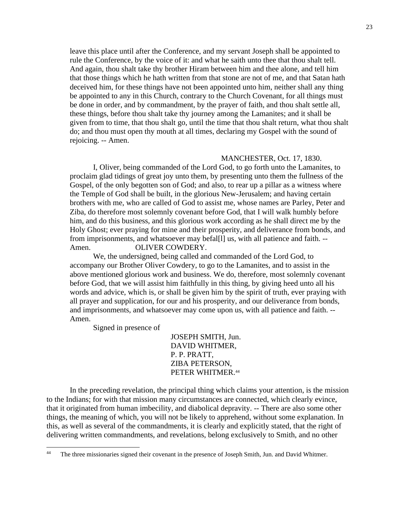leave this place until after the Conference, and my servant Joseph shall be appointed to rule the Conference, by the voice of it: and what he saith unto thee that thou shalt tell. And again, thou shalt take thy brother Hiram between him and thee alone, and tell him that those things which he hath written from that stone are not of me, and that Satan hath deceived him, for these things have not been appointed unto him, neither shall any thing be appointed to any in this Church, contrary to the Church Covenant, for all things must be done in order, and by commandment, by the prayer of faith, and thou shalt settle all, these things, before thou shalt take thy journey among the Lamanites; and it shall be given from to time, that thou shalt go, until the time that thou shalt return, what thou shalt do; and thou must open thy mouth at all times, declaring my Gospel with the sound of rejoicing. -- Amen.

# MANCHESTER, Oct. 17, 1830.

I, Oliver, being commanded of the Lord God, to go forth unto the Lamanites, to proclaim glad tidings of great joy unto them, by presenting unto them the fullness of the Gospel, of the only begotten son of God; and also, to rear up a pillar as a witness where the Temple of God shall be built, in the glorious New-Jerusalem; and having certain brothers with me, who are called of God to assist me, whose names are Parley, Peter and Ziba, do therefore most solemnly covenant before God, that I will walk humbly before him, and do this business, and this glorious work according as he shall direct me by the Holy Ghost; ever praying for mine and their prosperity, and deliverance from bonds, and from imprisonments, and whatsoever may befal[l] us, with all patience and faith. -- Amen. **OLIVER COWDERY.** 

We, the undersigned, being called and commanded of the Lord God, to accompany our Brother Oliver Cowdery, to go to the Lamanites, and to assist in the above mentioned glorious work and business. We do, therefore, most solemnly covenant before God, that we will assist him faithfully in this thing, by giving heed unto all his words and advice, which is, or shall be given him by the spirit of truth, ever praying with all prayer and supplication, for our and his prosperity, and our deliverance from bonds, and imprisonments, and whatsoever may come upon us, with all patience and faith. -- Amen.

Signed in presence of

 JOSEPH SMITH, Jun. DAVID WHITMER, P. P. PRATT, ZIBA PETERSON, PETER WHITMER.<sup>44</sup>

In the preceding revelation, the principal thing which claims your attention, is the mission to the Indians; for with that mission many circumstances are connected, which clearly evince, that it originated from human imbecility, and diabolical depravity. -- There are also some other things, the meaning of which, you will not be likely to apprehend, without some explanation. In this, as well as several of the commandments, it is clearly and explicitly stated, that the right of delivering written commandments, and revelations, belong exclusively to Smith, and no other

<sup>44</sup> The three missionaries signed their covenant in the presence of Joseph Smith, Jun. and David Whitmer.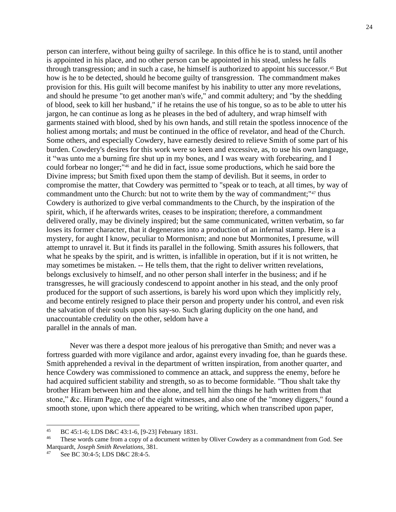person can interfere, without being guilty of sacrilege. In this office he is to stand, until another is appointed in his place, and no other person can be appointed in his stead, unless he falls through transgression; and in such a case, he himself is authorized to appoint his successor.<sup>45</sup> But how is he to be detected, should he become guilty of transgression. The commandment makes provision for this. His guilt will become manifest by his inability to utter any more revelations, and should he presume "to get another man's wife," and commit adultery; and "by the shedding of blood, seek to kill her husband," if he retains the use of his tongue, so as to be able to utter his jargon, he can continue as long as he pleases in the bed of adultery, and wrap himself with garments stained with blood, shed by his own hands, and still retain the spotless innocence of the holiest among mortals; and must be continued in the office of revelator, and head of the Church. Some others, and especially Cowdery, have earnestly desired to relieve Smith of some part of his burden. Cowdery's desires for this work were so keen and excessive, as, to use his own language, it "was unto me a burning fire shut up in my bones, and I was weary with forebearing, and I could forbear no longer;"<sup>46</sup> and he did in fact, issue some productions, which he said bore the Divine impress; but Smith fixed upon them the stamp of devilish. But it seems, in order to compromise the matter, that Cowdery was permitted to "speak or to teach, at all times, by way of commandment unto the Church: but not to write them by the way of commandment;"<sup>47</sup> thus Cowdery is authorized to give verbal commandments to the Church, by the inspiration of the spirit, which, if he afterwards writes, ceases to be inspiration; therefore, a commandment delivered orally, may be divinely inspired; but the same communicated, written verbatim, so far loses its former character, that it degenerates into a production of an infernal stamp. Here is a mystery, for aught I know, peculiar to Mormonism; and none but Mormonites, I presume, will attempt to unravel it. But it finds its parallel in the following. Smith assures his followers, that what he speaks by the spirit, and is written, is infallible in operation, but if it is not written, he may sometimes be mistaken. -- He tells them, that the right to deliver written revelations, belongs exclusively to himself, and no other person shall interfer in the business; and if he transgresses, he will graciously condescend to appoint another in his stead, and the only proof produced for the support of such assertions, is barely his word upon which they implicitly rely, and become entirely resigned to place their person and property under his control, and even risk the salvation of their souls upon his say-so. Such glaring duplicity on the one hand, and unaccountable credulity on the other, seldom have a parallel in the annals of man.

Never was there a despot more jealous of his prerogative than Smith; and never was a fortress guarded with more vigilance and ardor, against every invading foe, than he guards these. Smith apprehended a revival in the department of written inspiration, from another quarter, and hence Cowdery was commissioned to commence an attack, and suppress the enemy, before he had acquired sufficient stability and strength, so as to become formidable. "Thou shalt take thy brother Hiram between him and thee alone, and tell him the things he hath written from that stone," &c. Hiram Page, one of the eight witnesses, and also one of the "money diggers," found a smooth stone, upon which there appeared to be writing, which when transcribed upon paper,

<sup>45</sup> BC 45:1-6; LDS D&C 43:1-6, [9-23] February 1831.

<sup>46</sup> These words came from a copy of a document written by Oliver Cowdery as a commandment from God. See Marquardt, *Joseph Smith Revelations*, 381.

<sup>47</sup> See BC 30:4-5; LDS D&C 28:4-5.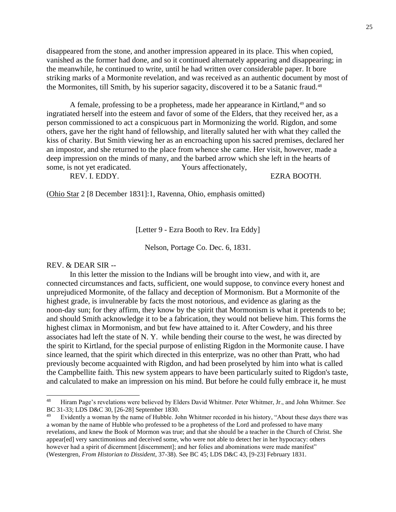disappeared from the stone, and another impression appeared in its place. This when copied, vanished as the former had done, and so it continued alternately appearing and disappearing; in the meanwhile, he continued to write, until he had written over considerable paper. It bore striking marks of a Mormonite revelation, and was received as an authentic document by most of the Mormonites, till Smith, by his superior sagacity, discovered it to be a Satanic fraud.<sup>48</sup>

A female, professing to be a prophetess, made her appearance in Kirtland,<sup>49</sup> and so ingratiated herself into the esteem and favor of some of the Elders, that they received her, as a person commissioned to act a conspicuous part in Mormonizing the world. Rigdon, and some others, gave her the right hand of fellowship, and literally saluted her with what they called the kiss of charity. But Smith viewing her as an encroaching upon his sacred premises, declared her an impostor, and she returned to the place from whence she came. Her visit, however, made a deep impression on the minds of many, and the barbed arrow which she left in the hearts of some, is not yet eradicated. Yours affectionately,

REV. I. EDDY. EZRA BOOTH.

(Ohio Star 2 [8 December 1831]:1, Ravenna, Ohio, emphasis omitted)

[Letter 9 - Ezra Booth to Rev. Ira Eddy]

Nelson, Portage Co. Dec. 6, 1831.

#### REV. & DEAR SIR --

In this letter the mission to the Indians will be brought into view, and with it, are connected circumstances and facts, sufficient, one would suppose, to convince every honest and unprejudiced Mormonite, of the fallacy and deception of Mormonism. But a Mormonite of the highest grade, is invulnerable by facts the most notorious, and evidence as glaring as the noon-day sun; for they affirm, they know by the spirit that Mormonism is what it pretends to be; and should Smith acknowledge it to be a fabrication, they would not believe him. This forms the highest climax in Mormonism, and but few have attained to it. After Cowdery, and his three associates had left the state of N. Y. while bending their course to the west, he was directed by the spirit to Kirtland, for the special purpose of enlisting Rigdon in the Mormonite cause. I have since learned, that the spirit which directed in this enterprize, was no other than Pratt, who had previously become acquainted with Rigdon, and had been proselyted by him into what is called the Campbellite faith. This new system appears to have been particularly suited to Rigdon's taste, and calculated to make an impression on his mind. But before he could fully embrace it, he must

<sup>48</sup> Hiram Page's revelations were believed by Elders David Whitmer. Peter Whitmer, Jr., and John Whitmer. See BC 31-33; LDS D&C 30, [26-28] September 1830.

<sup>49</sup> Evidently a woman by the name of Hubble. John Whitmer recorded in his history, "About these days there was a woman by the name of Hubble who professed to be a prophetess of the Lord and professed to have many revelations, and knew the Book of Mormon was true; and that she should be a teacher in the Church of Christ. She appear[ed] very sanctimonious and deceived some, who were not able to detect her in her hypocracy: others however had a spirit of dicernment [discernment]; and her folies and abominations were made manifest" (Westergren, *From Historian to Dissident*, 37-38). See BC 45; LDS D&C 43, [9-23] February 1831.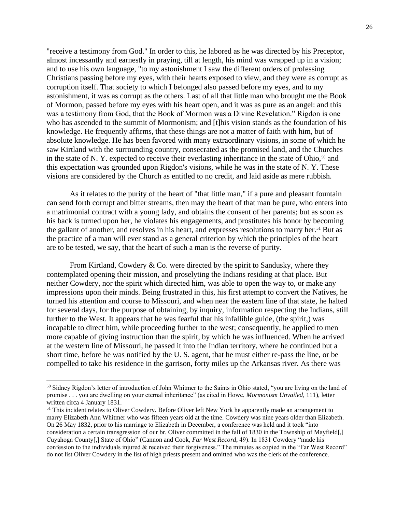"receive a testimony from God." In order to this, he labored as he was directed by his Preceptor, almost incessantly and earnestly in praying, till at length, his mind was wrapped up in a vision; and to use his own language, "to my astonishment I saw the different orders of professing Christians passing before my eyes, with their hearts exposed to view, and they were as corrupt as corruption itself. That society to which I belonged also passed before my eyes, and to my astonishment, it was as corrupt as the others. Last of all that little man who brought me the Book of Mormon, passed before my eyes with his heart open, and it was as pure as an angel: and this was a testimony from God, that the Book of Mormon was a Divine Revelation." Rigdon is one who has ascended to the summit of Mormonism; and [t]his vision stands as the foundation of his knowledge. He frequently affirms, that these things are not a matter of faith with him, but of absolute knowledge. He has been favored with many extraordinary visions, in some of which he saw Kirtland with the surrounding country, consecrated as the promised land, and the Churches in the state of N. Y. expected to receive their everlasting inheritance in the state of Ohio,<sup>50</sup> and this expectation was grounded upon Rigdon's visions, while he was in the state of N. Y. These visions are considered by the Church as entitled to no credit, and laid aside as mere rubbish.

As it relates to the purity of the heart of "that little man," if a pure and pleasant fountain can send forth corrupt and bitter streams, then may the heart of that man be pure, who enters into a matrimonial contract with a young lady, and obtains the consent of her parents; but as soon as his back is turned upon her, he violates his engagements, and prostitutes his honor by becoming the gallant of another, and resolves in his heart, and expresses resolutions to marry her.<sup>51</sup> But as the practice of a man will ever stand as a general criterion by which the principles of the heart are to be tested, we say, that the heart of such a man is the reverse of purity.

From Kirtland, Cowdery & Co. were directed by the spirit to Sandusky, where they contemplated opening their mission, and proselyting the Indians residing at that place. But neither Cowdery, nor the spirit which directed him, was able to open the way to, or make any impressions upon their minds. Being frustrated in this, his first attempt to convert the Natives, he turned his attention and course to Missouri, and when near the eastern line of that state, he halted for several days, for the purpose of obtaining, by inquiry, information respecting the Indians, still further to the West. It appears that he was fearful that his infallible guide, (the spirit,) was incapable to direct him, while proceeding further to the west; consequently, he applied to men more capable of giving instruction than the spirit, by which he was influenced. When he arrived at the western line of Missouri, he passed it into the Indian territory, where he continued but a short time, before he was notified by the U. S. agent, that he must either re-pass the line, or be compelled to take his residence in the garrison, forty miles up the Arkansas river. As there was

<sup>50</sup> Sidney Rigdon's letter of introduction of John Whitmer to the Saints in Ohio stated, "you are living on the land of promise . . . you are dwelling on your eternal inheritance" (as cited in Howe, *Mormonism Unvailed*, 111), letter written circa 4 January 1831.

<sup>&</sup>lt;sup>51</sup> This incident relates to Oliver Cowdery. Before Oliver left New York he apparently made an arrangement to marry Elizabeth Ann Whitmer who was fifteen years old at the time. Cowdery was nine years older than Elizabeth. On 26 May 1832, prior to his marriage to Elizabeth in December, a conference was held and it took "into consideration a certain transgression of our br. Oliver committed in the fall of 1830 in the Township of Mayfield[,] Cuyahoga County[,] State of Ohio" (Cannon and Cook, *Far West Record*, 49). In 1831 Cowdery "made his confession to the individuals injured & received their forgiveness." The minutes as copied in the "Far West Record" do not list Oliver Cowdery in the list of high priests present and omitted who was the clerk of the conference.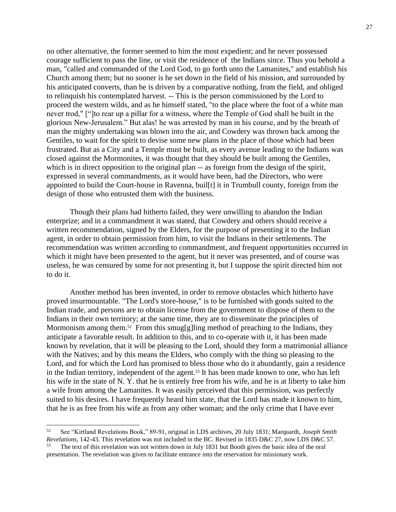no other alternative, the former seemed to him the most expedient; and he never possessed courage sufficient to pass the line, or visit the residence of the Indians since. Thus you behold a man, "called and commanded of the Lord God, to go forth unto the Lamanites," and establish his Church among them; but no sooner is he set down in the field of his mission, and surrounded by his anticipated converts, than he is driven by a comparative nothing, from the field, and obliged to relinquish his contemplated harvest. -- This is the person commissioned by the Lord to proceed the western wilds, and as he himself stated, "to the place where the foot of a white man never trod," ["]to rear up a pillar for a witness, where the Temple of God shall be built in the glorious New-Jerusalem." But alas! he was arrested by man in his course, and by the breath of man the mighty undertaking was blown into the air, and Cowdery was thrown back among the Gentiles, to wait for the spirit to devise some new plans in the place of those which had been frustrated. But as a City and a Temple must be built, as every avenue leading to the Indians was closed against the Mormonites, it was thought that they should be built among the Gentiles, which is in direct opposition to the original plan -- as foreign from the design of the spirit, expressed in several commandments, as it would have been, had the Directors, who were appointed to build the Court-house in Ravenna, buil[t] it in Trumbull county, foreign from the design of those who entrusted them with the business.

Though their plans had hitherto failed, they were unwilling to abandon the Indian enterprize; and in a commandment it was stated, that Cowdery and others should receive a written recommendation, signed by the Elders, for the purpose of presenting it to the Indian agent, in order to obtain permission from him, to visit the Indians in their settlements. The recommendation was written according to commandment, and frequent opportunities occurred in which it might have been presented to the agent, but it never was presented, and of course was useless, he was censured by some for not presenting it, but I suppose the spirit directed him not to do it.

Another method has been invented, in order to remove obstacles which hitherto have proved insurmountable. "The Lord's store-house," is to be furnished with goods suited to the Indian trade, and persons are to obtain license from the government to dispose of them to the Indians in their own territory; at the same time, they are to disseminate the principles of Mormonism among them.<sup>52</sup> From this smug[g]ling method of preaching to the Indians, they anticipate a favorable result. In addition to this, and to co-operate with it, it has been made known by revelation, that it will be pleasing to the Lord, should they form a matrimonial alliance with the Natives; and by this means the Elders, who comply with the thing so pleasing to the Lord, and for which the Lord has promised to bless those who do it abundantly, gain a residence in the Indian territory, independent of the agent.<sup>53</sup> It has been made known to one, who has left his wife in the state of N. Y. that he is entirely free from his wife, and he is at liberty to take him a wife from among the Lamanites. It was easily perceived that this permission, was perfectly suited to his desires. I have frequently heard him state, that the Lord has made it known to him, that he is as free from his wife as from any other woman; and the only crime that I have ever

<sup>52</sup> See "Kirtland Revelations Book," 89-91, original in LDS archives, 20 July 1831; Marquardt, *Joseph Smith Revelations*, 142-43. This revelation was not included in the BC. Revised in 1835 D&C 27, now LDS D&C 57. 53

The text of this revelation was not written down in July 1831 but Booth gives the basic idea of the oral presentation. The revelation was given to facilitate entrance into the reservation for missionary work.